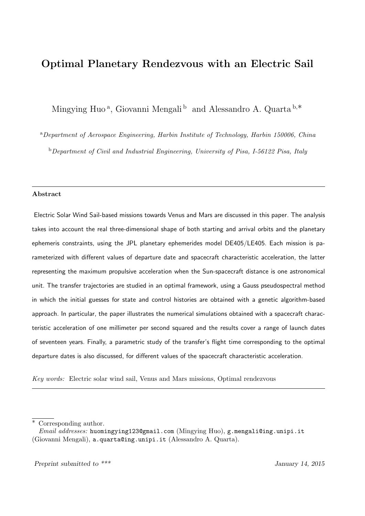# Optimal Planetary Rendezvous with an Electric Sail

Mingying Huo<sup>a</sup>, Giovanni Mengali<sup>b</sup> and Alessandro A. Quarta<sup>b,\*</sup>

<sup>a</sup>Department of Aerospace Engineering, Harbin Institute of Technology, Harbin 150006, China

 $b$ Department of Civil and Industrial Engineering, University of Pisa, I-56122 Pisa, Italy

#### Abstract

Electric Solar Wind Sail-based missions towards Venus and Mars are discussed in this paper. The analysis takes into account the real three-dimensional shape of both starting and arrival orbits and the planetary ephemeris constraints, using the JPL planetary ephemerides model DE405/LE405. Each mission is parameterized with different values of departure date and spacecraft characteristic acceleration, the latter representing the maximum propulsive acceleration when the Sun-spacecraft distance is one astronomical unit. The transfer trajectories are studied in an optimal framework, using a Gauss pseudospectral method in which the initial guesses for state and control histories are obtained with a genetic algorithm-based approach. In particular, the paper illustrates the numerical simulations obtained with a spacecraft characteristic acceleration of one millimeter per second squared and the results cover a range of launch dates of seventeen years. Finally, a parametric study of the transfer's flight time corresponding to the optimal departure dates is also discussed, for different values of the spacecraft characteristic acceleration.

Key words: Electric solar wind sail, Venus and Mars missions, Optimal rendezvous

Corresponding author.

 $Email$  addresses: huomingying123@gmail.com (Mingying Huo), g.mengali@ing.unipi.it (Giovanni Mengali), a.quarta@ing.unipi.it (Alessandro A. Quarta).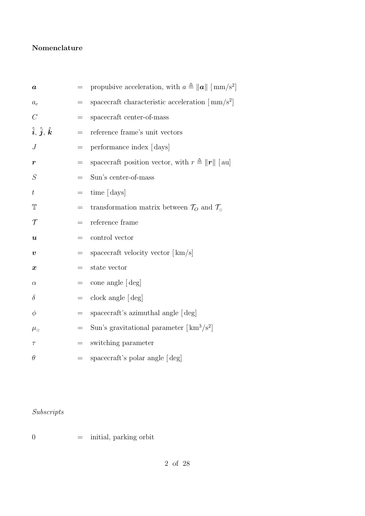# Nomenclature

| $\boldsymbol{a}$                           |     | propulsive acceleration, with $a \triangleq   \boldsymbol{a}   \; [\text{mm/s}^2]$ |  |  |
|--------------------------------------------|-----|------------------------------------------------------------------------------------|--|--|
| $a_c$                                      | $=$ | spacecraft characteristic acceleration $\lfloor \text{mm/s}^2 \rfloor$             |  |  |
| $\mathcal{C}$                              | $=$ | spacecraft center-of-mass                                                          |  |  |
| $\hat{\bm{i}}, \hat{\bm{j}}, \hat{\bm{k}}$ | $=$ | reference frame's unit vectors                                                     |  |  |
| $\boldsymbol{J}$                           | $=$ | performance index [days]                                                           |  |  |
| $\bm{r}$                                   | $=$ | spacecraft position vector, with $r \triangleq   \mathbf{r}  $ [au]                |  |  |
| $\boldsymbol{S}$                           | $=$ | Sun's center-of-mass                                                               |  |  |
| $t\,$                                      | $=$ | $time$ [days]                                                                      |  |  |
| $\mathbb T$                                | =   | transformation matrix between $\mathcal{T}_0$ and $\mathcal{T}_0$                  |  |  |
| $\mathcal T$                               | =   | reference frame                                                                    |  |  |
| $\boldsymbol{u}$                           | $=$ | control vector                                                                     |  |  |
| $\boldsymbol{v}$                           | $=$ | spacecraft velocity vector $\lfloor \mathrm{km/s} \rfloor$                         |  |  |
| $\boldsymbol{x}$                           | $=$ | state vector                                                                       |  |  |
| $\alpha$                                   | $=$ | cone angle [deg]                                                                   |  |  |
| $\delta$                                   | $=$ | clock angle $\lceil \text{deg} \rceil$                                             |  |  |
| $\phi$                                     | $=$ | spacecraft's azimuthal angle [deg]                                                 |  |  |
| $\mu_{\odot}$                              | $=$ | Sun's gravitational parameter $\left[\,\mathrm{km^3/s^2}\right]$                   |  |  |
| $\tau$                                     | $=$ | switching parameter                                                                |  |  |
| $\theta$                                   | $=$ | spacecraft's polar angle [deg]                                                     |  |  |

# Subscripts

 $0 =$  initial, parking orbit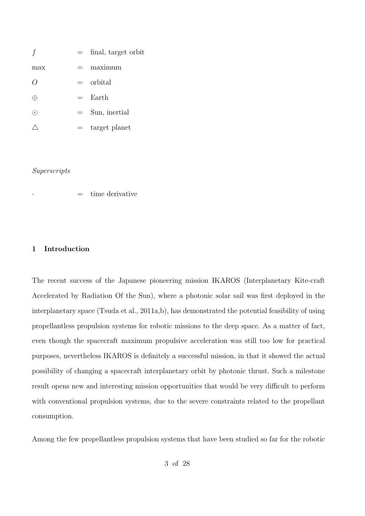|            | $=$ | final, target orbit |  |
|------------|-----|---------------------|--|
| max        | $=$ | maximum             |  |
| $\epsilon$ | $=$ | orbital             |  |
|            | $=$ | Earth               |  |
| [∙]        | $=$ | Sun, inertial       |  |
|            | $=$ | target planet       |  |

# Superscripts

time derivative

### 1 Introduction

The recent success of the Japanese pioneering mission IKAROS (Interplanetary Kite-craft Accelerated by Radiation Of the Sun), where a photonic solar sail was first deployed in the interplanetary space (Tsuda et al., 2011a,b), has demonstrated the potential feasibility of using propellantless propulsion systems for robotic missions to the deep space. As a matter of fact, even though the spacecraft maximum propulsive acceleration was still too low for practical purposes, nevertheless IKAROS is definitely a successful mission, in that it showed the actual possibility of changing a spacecraft interplanetary orbit by photonic thrust. Such a milestone result opens new and interesting mission opportunities that would be very difficult to perform with conventional propulsion systems, due to the severe constraints related to the propellant consumption.

Among the few propellantless propulsion systems that have been studied so far for the robotic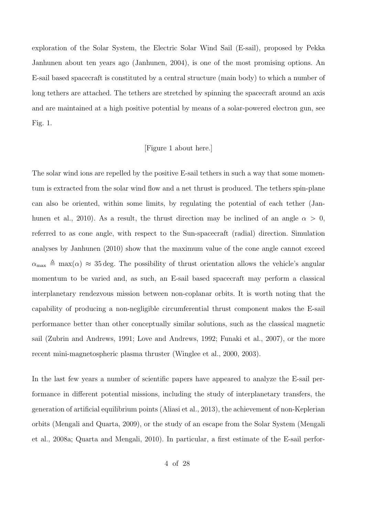exploration of the Solar System, the Electric Solar Wind Sail (E-sail), proposed by Pekka Janhunen about ten years ago (Janhunen, 2004), is one of the most promising options. An E-sail based spacecraft is constituted by a central structure (main body) to which a number of long tethers are attached. The tethers are stretched by spinning the spacecraft around an axis and are maintained at a high positive potential by means of a solar-powered electron gun, see Fig. 1.

#### [Figure 1 about here.]

The solar wind ions are repelled by the positive E-sail tethers in such a way that some momentum is extracted from the solar wind flow and a net thrust is produced. The tethers spin-plane can also be oriented, within some limits, by regulating the potential of each tether (Janhunen et al., 2010). As a result, the thrust direction may be inclined of an angle  $\alpha > 0$ , referred to as cone angle, with respect to the Sun-spacecraft (radial) direction. Simulation analyses by Janhunen (2010) show that the maximum value of the cone angle cannot exceed  $\alpha_{\text{max}} \triangleq \text{max}(\alpha) \approx 35 \text{ deg.}$  The possibility of thrust orientation allows the vehicle's angular momentum to be varied and, as such, an E-sail based spacecraft may perform a classical interplanetary rendezvous mission between non-coplanar orbits. It is worth noting that the capability of producing a non-negligible circumferential thrust component makes the E-sail performance better than other conceptually similar solutions, such as the classical magnetic sail (Zubrin and Andrews, 1991; Love and Andrews, 1992; Funaki et al., 2007), or the more recent mini-magnetospheric plasma thruster (Winglee et al., 2000, 2003).

In the last few years a number of scientific papers have appeared to analyze the E-sail performance in different potential missions, including the study of interplanetary transfers, the generation of artificial equilibrium points (Aliasi et al., 2013), the achievement of non-Keplerian orbits (Mengali and Quarta, 2009), or the study of an escape from the Solar System (Mengali et al., 2008a; Quarta and Mengali, 2010). In particular, a first estimate of the E-sail perfor-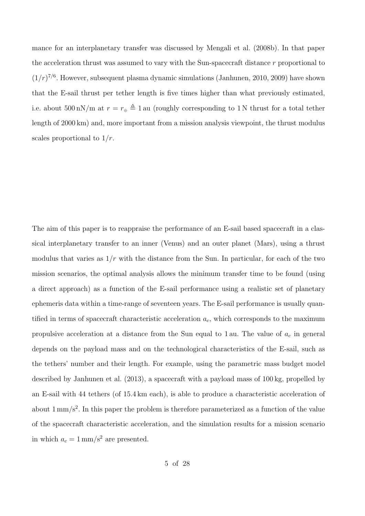mance for an interplanetary transfer was discussed by Mengali et al. (2008b). In that paper the acceleration thrust was assumed to vary with the Sun-spacecraft distance r proportional to  $(1/r)^{7/6}$ . However, subsequent plasma dynamic simulations (Janhunen, 2010, 2009) have shown that the E-sail thrust per tether length is five times higher than what previously estimated, i.e. about 500 nN/m at  $r = r_{\oplus} \triangleq 1$  au (roughly corresponding to 1 N thrust for a total tether length of 2000 km) and, more important from a mission analysis viewpoint, the thrust modulus scales proportional to  $1/r$ .

The aim of this paper is to reappraise the performance of an E-sail based spacecraft in a classical interplanetary transfer to an inner (Venus) and an outer planet (Mars), using a thrust modulus that varies as  $1/r$  with the distance from the Sun. In particular, for each of the two mission scenarios, the optimal analysis allows the minimum transfer time to be found (using a direct approach) as a function of the E-sail performance using a realistic set of planetary ephemeris data within a time-range of seventeen years. The E-sail performance is usually quantified in terms of spacecraft characteristic acceleration  $a_c$ , which corresponds to the maximum propulsive acceleration at a distance from the Sun equal to 1 au. The value of  $a_c$  in general depends on the payload mass and on the technological characteristics of the E-sail, such as the tethers' number and their length. For example, using the parametric mass budget model described by Janhunen et al. (2013), a spacecraft with a payload mass of 100 kg, propelled by an E-sail with 44 tethers (of 15.4 km each), is able to produce a characteristic acceleration of about  $1 \text{ mm/s}^2$ . In this paper the problem is therefore parameterized as a function of the value of the spacecraft characteristic acceleration, and the simulation results for a mission scenario in which  $a_c = 1 \text{ mm/s}^2$  are presented.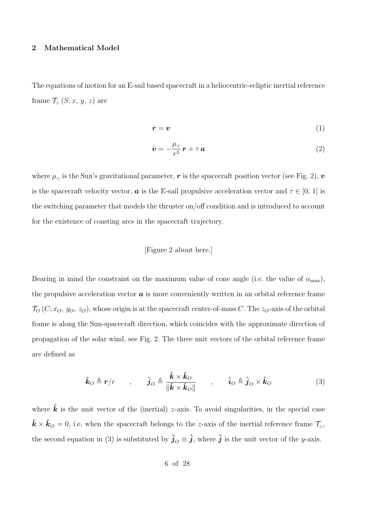#### 2 Mathematical Model

The equations of motion for an E-sail based spacecraft in a heliocentric-ecliptic inertial reference frame  $\mathcal{T}_{\odot}$   $(S; x, y, z)$  are

$$
\dot{\boldsymbol{r}} = \boldsymbol{v} \tag{1}
$$

$$
\dot{\boldsymbol{v}} = -\frac{\mu_{\odot}}{r^3}\,\boldsymbol{r} + \tau\,\boldsymbol{a} \tag{2}
$$

where  $\mu_{\odot}$  is the Sun's gravitational parameter, r is the spacecraft position vector (see Fig. 2), v is the spacecraft velocity vector, **a** is the E-sail propulsive acceleration vector and  $\tau \in [0, 1]$  is the switching parameter that models the thruster on/off condition and is introduced to account for the existence of coasting arcs in the spacecraft trajectory.

# [Figure 2 about here.]

Bearing in mind the constraint on the maximum value of cone angle (i.e. the value of  $\alpha_{\text{max}}$ ), the propulsive acceleration vector  $\boldsymbol{a}$  is more conveniently written in an orbital reference frame  $\mathcal{T}_O(C; x_O, y_O, z_O)$ , whose origin is at the spacecraft center-of-mass C. The  $z_O$ -axis of the orbital frame is along the Sun-spacecraft direction, which coincides with the approximate direction of propagation of the solar wind, see Fig. 2. The three unit vectors of the orbital reference frame are defined as

$$
\hat{\boldsymbol{k}}_O \triangleq \boldsymbol{r}/r \qquad , \qquad \hat{\boldsymbol{j}}_O \triangleq \frac{\hat{\boldsymbol{k}} \times \hat{\boldsymbol{k}}_O}{\|\hat{\boldsymbol{k}} \times \hat{\boldsymbol{k}}_O\|} \qquad , \qquad \hat{\boldsymbol{i}}_O \triangleq \hat{\boldsymbol{j}}_O \times \hat{\boldsymbol{k}}_O \qquad (3)
$$

where  $\hat{k}$  is the unit vector of the (inertial) z-axis. To avoid singularities, in the special case  $\hat{\mathbf{k}} \times \hat{\mathbf{k}}_O = 0$ , i.e. when the spacecraft belongs to the z-axis of the inertial reference frame  $\mathcal{T}_{\odot}$ , the second equation in (3) is substituted by  $\hat{j}_O \equiv \hat{j}$ , where  $\hat{j}$  is the unit vector of the y-axis.

6 of 28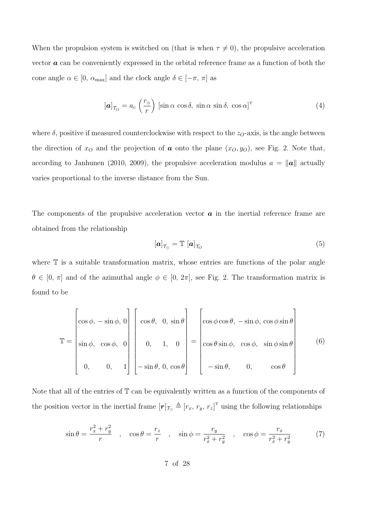When the propulsion system is switched on (that is when  $\tau \neq 0$ ), the propulsive acceleration vector  $\boldsymbol{a}$  can be conveniently expressed in the orbital reference frame as a function of both the cone angle  $\alpha \in [0, \alpha_{\text{max}}]$  and the clock angle  $\delta \in [-\pi, \pi]$  as

$$
\left[\boldsymbol{a}\right]_{\mathcal{T}_{O}} = a_{c} \left(\frac{r_{\oplus}}{r}\right) \left[\sin \alpha \, \cos \delta, \, \sin \alpha \, \sin \delta, \, \cos \alpha\right]^{\mathrm{T}}
$$
\n<sup>(4)</sup>

where  $\delta$ , positive if measured counterclockwise with respect to the  $z<sub>O</sub>$ -axis, is the angle between the direction of  $x<sub>O</sub>$  and the projection of  $\boldsymbol{a}$  onto the plane  $(x<sub>O</sub>, y<sub>O</sub>)$ , see Fig. 2. Note that, according to Janhunen (2010, 2009), the propulsive acceleration modulus  $a = ||a||$  actually varies proportional to the inverse distance from the Sun.

The components of the propulsive acceleration vector  $\boldsymbol{a}$  in the inertial reference frame are obtained from the relationship

$$
\left[\mathbf{a}\right]_{\mathcal{T}_{\odot}} = \mathbb{T} \left[\mathbf{a}\right]_{\mathcal{T}_{\odot}}
$$
 (5)

where  $\mathbb T$  is a suitable transformation matrix, whose entries are functions of the polar angle  $\theta \in [0, \pi]$  and of the azimuthal angle  $\phi \in [0, 2\pi]$ , see Fig. 2. The transformation matrix is found to be

$$
\mathbb{T} = \begin{bmatrix} \cos \phi, & -\sin \phi, & 0 \\ \sin \phi, & \cos \phi, & 0 \\ 0, & 0, & 1 \end{bmatrix} \begin{bmatrix} \cos \theta, & 0, & \sin \theta \\ 0, & 1, & 0 \\ -\sin \theta, & 0, & \cos \theta \end{bmatrix} = \begin{bmatrix} \cos \phi \cos \theta, & -\sin \phi, & \cos \phi \sin \theta \\ \cos \theta \sin \phi, & \cos \phi, & \sin \phi \sin \theta \\ -\sin \theta, & 0, & \cos \theta \end{bmatrix} \tag{6}
$$

Note that all of the entries of  $\mathbb T$  can be equivalently written as a function of the components of the position vector in the inertial frame  $[r]_{\mathcal{T}_{\mathbb{O}}} \triangleq [r_x, r_y, r_z]^{\mathrm{T}}$  using the following relationships

$$
\sin \theta = \frac{r_x^2 + r_y^2}{r} \quad , \quad \cos \theta = \frac{r_z}{r} \quad , \quad \sin \phi = \frac{r_y}{r_x^2 + r_y^2} \quad , \quad \cos \phi = \frac{r_x}{r_x^2 + r_y^2} \tag{7}
$$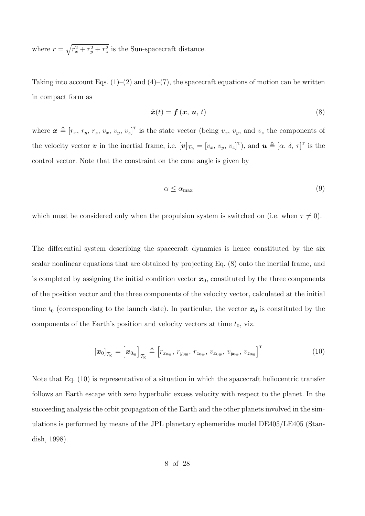where  $r = \sqrt{r_x^2 + r_y^2 + r_z^2}$  is the Sun-spacecraft distance.

Taking into account Eqs.  $(1)$ – $(2)$  and  $(4)$ – $(7)$ , the spacecraft equations of motion can be written in compact form as

$$
\dot{\boldsymbol{x}}(t) = \boldsymbol{f}\left(\boldsymbol{x}, \, \boldsymbol{u}, \, t\right) \tag{8}
$$

where  $\boldsymbol{x} \triangleq [r_x, r_y, r_z, v_x, v_y, v_z]^T$  is the state vector (being  $v_x, v_y$ , and  $v_z$  the components of the velocity vector  $\boldsymbol{v}$  in the inertial frame, i.e.  $[\boldsymbol{v}]_{\mathcal{T}_{\odot}} = [v_x, v_y, v_z]^{\mathrm{T}}$ , and  $\boldsymbol{u} \triangleq [\alpha, \delta, \tau]^{\mathrm{T}}$  is the control vector. Note that the constraint on the cone angle is given by

$$
\alpha \le \alpha_{\text{max}} \tag{9}
$$

which must be considered only when the propulsion system is switched on (i.e. when  $\tau \neq 0$ ).

The differential system describing the spacecraft dynamics is hence constituted by the six scalar nonlinear equations that are obtained by projecting Eq. (8) onto the inertial frame, and is completed by assigning the initial condition vector  $x_0$ , constituted by the three components of the position vector and the three components of the velocity vector, calculated at the initial time  $t_0$  (corresponding to the launch date). In particular, the vector  $x_0$  is constituted by the components of the Earth's position and velocity vectors at time  $t_0$ , viz.

$$
\left[\boldsymbol{x}_0\right]_{\mathcal{T}_{\odot}} = \left[\boldsymbol{x}_{0_{\oplus}}\right]_{\mathcal{T}_{\odot}} \triangleq \left[r_{x_{0\oplus}}, r_{y_{0\oplus}}, r_{z_{0\oplus}}, v_{x_{0\oplus}}, v_{y_{0\oplus}}, v_{z_{0\oplus}}\right]^{\mathrm{T}}
$$
(10)

Note that Eq. (10) is representative of a situation in which the spacecraft heliocentric transfer follows an Earth escape with zero hyperbolic excess velocity with respect to the planet. In the succeeding analysis the orbit propagation of the Earth and the other planets involved in the simulations is performed by means of the JPL planetary ephemerides model DE405/LE405 (Standish, 1998).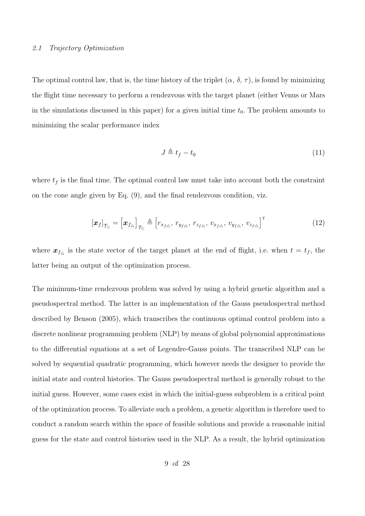#### 2.1 Trajectory Optimization

The optimal control law, that is, the time history of the triplet  $(\alpha, \delta, \tau)$ , is found by minimizing the flight time necessary to perform a rendezvous with the target planet (either Venus or Mars in the simulations discussed in this paper) for a given initial time  $t_0$ . The problem amounts to minimizing the scalar performance index

$$
J \triangleq t_f - t_0 \tag{11}
$$

where  $t_f$  is the final time. The optimal control law must take into account both the constraint on the cone angle given by Eq. (9), and the final rendezvous condition, viz.

$$
\left[\boldsymbol{x}_{f}\right]_{\mathcal{T}_{\odot}}=\left[\boldsymbol{x}_{f_{\triangle}}\right]_{\mathcal{T}_{\odot}}\triangleq\left[r_{x_{f\triangle}},\,r_{y_{f\triangle}},\,r_{z_{f\triangle}},\,v_{x_{f\triangle}},\,v_{y_{f\triangle}},\,v_{z_{f\triangle}}\right]^{\mathrm{T}}
$$
\n(12)

where  $x_{f\Delta}$  is the state vector of the target planet at the end of flight, i.e. when  $t = t_f$ , the latter being an output of the optimization process.

The minimum-time rendezvous problem was solved by using a hybrid genetic algorithm and a pseudospectral method. The latter is an implementation of the Gauss pseudospectral method described by Benson (2005), which transcribes the continuous optimal control problem into a discrete nonlinear programming problem (NLP) by means of global polynomial approximations to the differential equations at a set of Legendre-Gauss points. The transcribed NLP can be solved by sequential quadratic programming, which however needs the designer to provide the initial state and control histories. The Gauss pseudospectral method is generally robust to the initial guess. However, some cases exist in which the initial-guess subproblem is a critical point of the optimization process. To alleviate such a problem, a genetic algorithm is therefore used to conduct a random search within the space of feasible solutions and provide a reasonable initial guess for the state and control histories used in the NLP. As a result, the hybrid optimization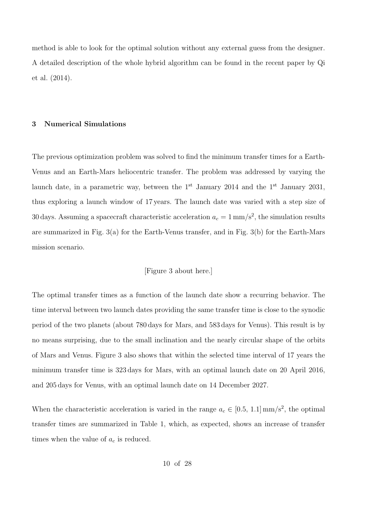method is able to look for the optimal solution without any external guess from the designer. A detailed description of the whole hybrid algorithm can be found in the recent paper by Qi et al. (2014).

#### 3 Numerical Simulations

The previous optimization problem was solved to find the minimum transfer times for a Earth-Venus and an Earth-Mars heliocentric transfer. The problem was addressed by varying the launch date, in a parametric way, between the  $1<sup>st</sup>$  January 2014 and the  $1<sup>st</sup>$  January 2031, thus exploring a launch window of 17 years. The launch date was varied with a step size of 30 days. Assuming a spacecraft characteristic acceleration  $a_c = 1 \text{ mm/s}^2$ , the simulation results are summarized in Fig. 3(a) for the Earth-Venus transfer, and in Fig. 3(b) for the Earth-Mars mission scenario.

# [Figure 3 about here.]

The optimal transfer times as a function of the launch date show a recurring behavior. The time interval between two launch dates providing the same transfer time is close to the synodic period of the two planets (about 780 days for Mars, and 583 days for Venus). This result is by no means surprising, due to the small inclination and the nearly circular shape of the orbits of Mars and Venus. Figure 3 also shows that within the selected time interval of 17 years the minimum transfer time is 323 days for Mars, with an optimal launch date on 20 April 2016, and 205 days for Venus, with an optimal launch date on 14 December 2027.

When the characteristic acceleration is varied in the range  $a_c \in [0.5, 1.1]$  mm/s<sup>2</sup>, the optimal transfer times are summarized in Table 1, which, as expected, shows an increase of transfer times when the value of  $a_c$  is reduced.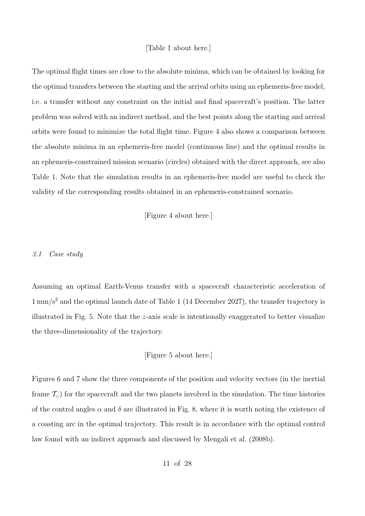# [Table 1 about here.]

The optimal flight times are close to the absolute minima, which can be obtained by looking for the optimal transfers between the starting and the arrival orbits using an ephemeris-free model, i.e. a transfer without any constraint on the initial and final spacecraft's position. The latter problem was solved with an indirect method, and the best points along the starting and arrival orbits were found to minimize the total flight time. Figure 4 also shows a comparison between the absolute minima in an ephemeris-free model (continuous line) and the optimal results in an ephemeris-constrained mission scenario (circles) obtained with the direct approach, see also Table 1. Note that the simulation results in an ephemeris-free model are useful to check the validity of the corresponding results obtained in an ephemeris-constrained scenario.

[Figure 4 about here.]

#### 3.1 Case study

Assuming an optimal Earth-Venus transfer with a spacecraft characteristic acceleration of  $1 \text{ mm/s}^2$  and the optimal launch date of Table 1 (14 December 2027), the transfer trajectory is illustrated in Fig. 5. Note that the z-axis scale is intentionally exaggerated to better visualize the three-dimensionality of the trajectory.

[Figure 5 about here.]

Figures 6 and 7 show the three components of the position and velocity vectors (in the inertial frame  $\mathcal{T}_{\odot}$ ) for the spacecraft and the two planets involved in the simulation. The time histories of the control angles  $\alpha$  and  $\delta$  are illustrated in Fig. 8, where it is worth noting the existence of a coasting arc in the optimal trajectory. This result is in accordance with the optimal control law found with an indirect approach and discussed by Mengali et al. (2008b).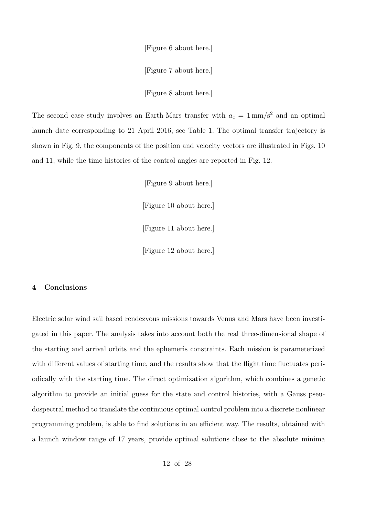[Figure 6 about here.] [Figure 7 about here.] [Figure 8 about here.]

The second case study involves an Earth-Mars transfer with  $a_c = 1 \text{ mm/s}^2$  and an optimal launch date corresponding to 21 April 2016, see Table 1. The optimal transfer trajectory is shown in Fig. 9, the components of the position and velocity vectors are illustrated in Figs. 10 and 11, while the time histories of the control angles are reported in Fig. 12.

> [Figure 9 about here.] [Figure 10 about here.] [Figure 11 about here.] [Figure 12 about here.]

#### 4 Conclusions

Electric solar wind sail based rendezvous missions towards Venus and Mars have been investigated in this paper. The analysis takes into account both the real three-dimensional shape of the starting and arrival orbits and the ephemeris constraints. Each mission is parameterized with different values of starting time, and the results show that the flight time fluctuates periodically with the starting time. The direct optimization algorithm, which combines a genetic algorithm to provide an initial guess for the state and control histories, with a Gauss pseudospectral method to translate the continuous optimal control problem into a discrete nonlinear programming problem, is able to find solutions in an efficient way. The results, obtained with a launch window range of 17 years, provide optimal solutions close to the absolute minima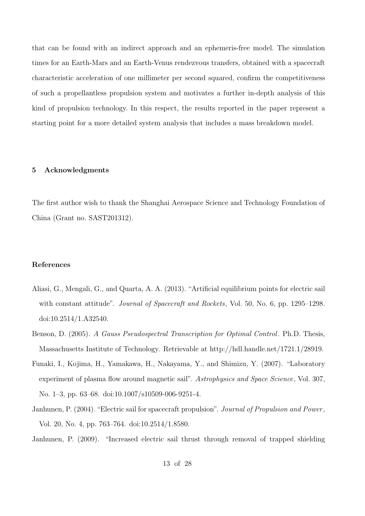that can be found with an indirect approach and an ephemeris-free model. The simulation times for an Earth-Mars and an Earth-Venus rendezvous transfers, obtained with a spacecraft characteristic acceleration of one millimeter per second squared, confirm the competitiveness of such a propellantless propulsion system and motivates a further in-depth analysis of this kind of propulsion technology. In this respect, the results reported in the paper represent a starting point for a more detailed system analysis that includes a mass breakdown model.

#### 5 Acknowledgments

The first author wish to thank the Shanghai Aerospace Science and Technology Foundation of China (Grant no. SAST201312).

#### References

- Aliasi, G., Mengali, G., and Quarta, A. A. (2013). "Artificial equilibrium points for electric sail with constant attitude". *Journal of Spacecraft and Rockets*, Vol. 50, No. 6, pp. 1295–1298. doi:10.2514/1.A32540.
- Benson, D. (2005). A Gauss Pseudospectral Transcription for Optimal Control. Ph.D. Thesis, Massachusetts Institute of Technology. Retrievable at http://hdl.handle.net/1721.1/28919.
- Funaki, I., Kojima, H., Yamakawa, H., Nakayama, Y., and Shimizu, Y. (2007). "Laboratory experiment of plasma flow around magnetic sail". Astrophysics and Space Science, Vol. 307, No. 1–3, pp. 63–68. doi:10.1007/s10509-006-9251-4.
- Janhunen, P. (2004). "Electric sail for spacecraft propulsion". Journal of Propulsion and Power, Vol. 20, No. 4, pp. 763–764. doi:10.2514/1.8580.

Janhunen, P. (2009). "Increased electric sail thrust through removal of trapped shielding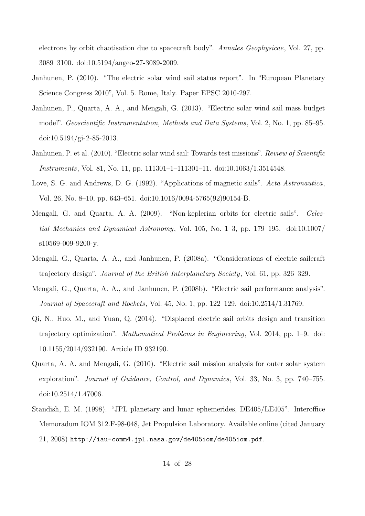electrons by orbit chaotisation due to spacecraft body". Annales Geophysicae, Vol. 27, pp. 3089–3100. doi:10.5194/angeo-27-3089-2009.

- Janhunen, P. (2010). "The electric solar wind sail status report". In "European Planetary Science Congress 2010", Vol. 5. Rome, Italy. Paper EPSC 2010-297.
- Janhunen, P., Quarta, A. A., and Mengali, G. (2013). "Electric solar wind sail mass budget model". Geoscientific Instrumentation, Methods and Data Systems, Vol. 2, No. 1, pp. 85–95. doi:10.5194/gi-2-85-2013.
- Janhunen, P. et al. (2010). "Electric solar wind sail: Towards test missions". Review of Scientific Instruments, Vol. 81, No. 11, pp. 111301–1–111301–11. doi:10.1063/1.3514548.
- Love, S. G. and Andrews, D. G. (1992). "Applications of magnetic sails". Acta Astronautica, Vol. 26, No. 8–10, pp. 643–651. doi:10.1016/0094-5765(92)90154-B.
- Mengali, G. and Quarta, A. A. (2009). "Non-keplerian orbits for electric sails". Celestial Mechanics and Dynamical Astronomy, Vol. 105, No. 1–3, pp. 179–195. doi:10.1007/ s10569-009-9200-y.
- Mengali, G., Quarta, A. A., and Janhunen, P. (2008a). "Considerations of electric sailcraft trajectory design". Journal of the British Interplanetary Society, Vol. 61, pp. 326–329.
- Mengali, G., Quarta, A. A., and Janhunen, P. (2008b). "Electric sail performance analysis". Journal of Spacecraft and Rockets, Vol. 45, No. 1, pp. 122–129. doi:10.2514/1.31769.
- Qi, N., Huo, M., and Yuan, Q. (2014). "Displaced electric sail orbits design and transition trajectory optimization". Mathematical Problems in Engineering, Vol. 2014, pp. 1–9. doi: 10.1155/2014/932190. Article ID 932190.
- Quarta, A. A. and Mengali, G. (2010). "Electric sail mission analysis for outer solar system exploration". Journal of Guidance, Control, and Dynamics, Vol. 33, No. 3, pp. 740–755. doi:10.2514/1.47006.
- Standish, E. M. (1998). "JPL planetary and lunar ephemerides, DE405/LE405". Interoffice Memoradum IOM 312.F-98-048, Jet Propulsion Laboratory. Available online (cited January 21, 2008) http://iau-comm4.jpl.nasa.gov/de405iom/de405iom.pdf.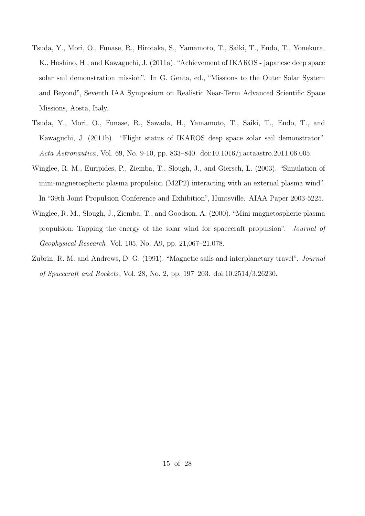- Tsuda, Y., Mori, O., Funase, R., Hirotaka, S., Yamamoto, T., Saiki, T., Endo, T., Yonekura, K., Hoshino, H., and Kawaguchi, J. (2011a). "Achievement of IKAROS - japanese deep space solar sail demonstration mission". In G. Genta, ed., "Missions to the Outer Solar System and Beyond", Seventh IAA Symposium on Realistic Near-Term Advanced Scientific Space Missions, Aosta, Italy.
- Tsuda, Y., Mori, O., Funase, R., Sawada, H., Yamamoto, T., Saiki, T., Endo, T., and Kawaguchi, J. (2011b). "Flight status of IKAROS deep space solar sail demonstrator". Acta Astronautica, Vol. 69, No. 9-10, pp. 833–840. doi:10.1016/j.actaastro.2011.06.005.
- Winglee, R. M., Euripides, P., Ziemba, T., Slough, J., and Giersch, L. (2003). "Simulation of mini-magnetospheric plasma propulsion (M2P2) interacting with an external plasma wind". In "39th Joint Propulsion Conference and Exhibition", Huntsville. AIAA Paper 2003-5225.
- Winglee, R. M., Slough, J., Ziemba, T., and Goodson, A. (2000). "Mini-magnetospheric plasma propulsion: Tapping the energy of the solar wind for spacecraft propulsion". Journal of Geophysical Research, Vol. 105, No. A9, pp. 21,067–21,078.
- Zubrin, R. M. and Andrews, D. G. (1991). "Magnetic sails and interplanetary travel". Journal of Spacecraft and Rockets, Vol. 28, No. 2, pp. 197–203. doi:10.2514/3.26230.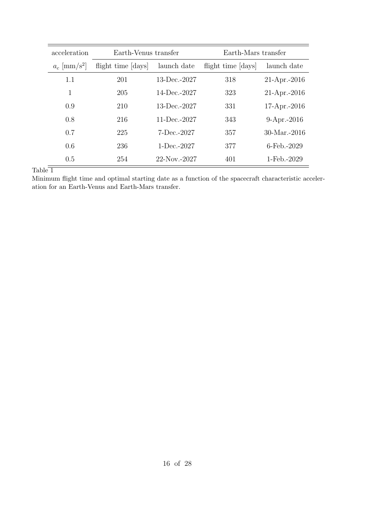| acceleration               | Earth-Venus transfer |                           | Earth-Mars transfer |                |  |
|----------------------------|----------------------|---------------------------|---------------------|----------------|--|
| $a_c$ [mm/s <sup>2</sup> ] | flight time [days]   | launch date               | flight time [days]  | launch date    |  |
| 1.1                        | 201                  | $13\text{-}$ Dec.- $2027$ | 318                 | $21-Apr.-2016$ |  |
| $\mathbf{1}$               | 205                  | $14$ -Dec.-2027           | 323                 | $21-Apr.-2016$ |  |
| 0.9                        | 210                  | $13$ -Dec.- $2027$        | 331                 | $17-Apr.-2016$ |  |
| 0.8                        | 216                  | 11-Dec.-2027              | 343                 | $9-Apr.-2016$  |  |
| 0.7                        | 225                  | 7-Dec.-2027               | 357                 | 30-Mar -2016   |  |
| 0.6                        | 236                  | $1 - Dec. -2027$          | 377                 | $6$ -Feb.-2029 |  |
| 0.5                        | 254                  | $22-Nov - 2027$           | 401                 | 1-Feb.-2029    |  |

# Table  $\overline{1}$

Minimum flight time and optimal starting date as a function of the spacecraft characteristic acceleration for an Earth-Venus and Earth-Mars transfer.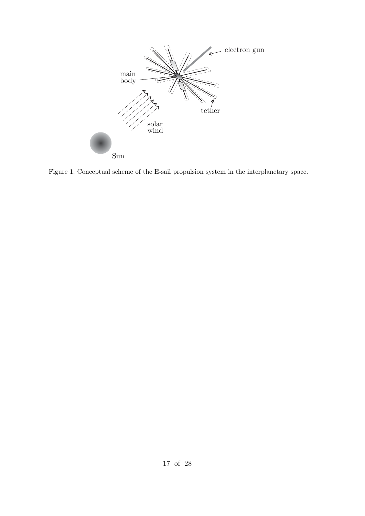

Figure 1. Conceptual scheme of the E-sail propulsion system in the interplanetary space.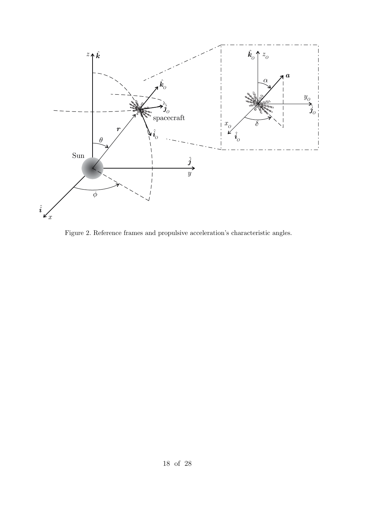

Figure 2. Reference frames and propulsive acceleration's characteristic angles.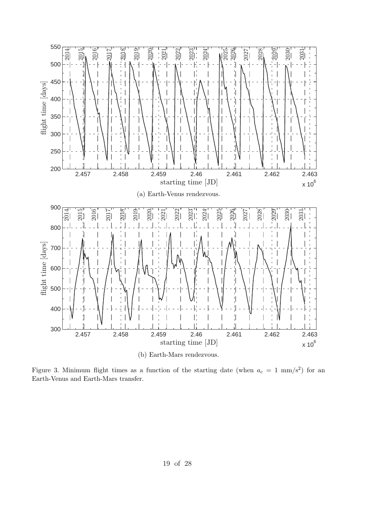

Figure 3. Minimum flight times as a function of the starting date (when  $a_c = 1$  mm/s<sup>2</sup>) for an Earth-Venus and Earth-Mars transfer.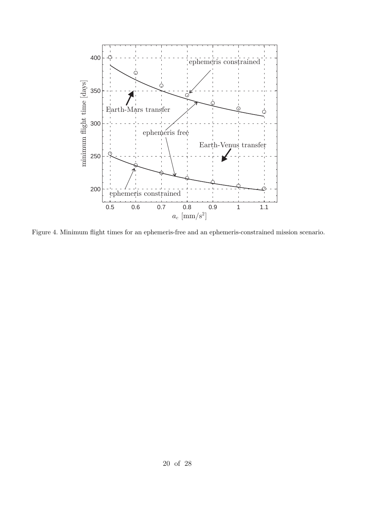

Figure 4. Minimum flight times for an ephemeris-free and an ephemeris-constrained mission scenario.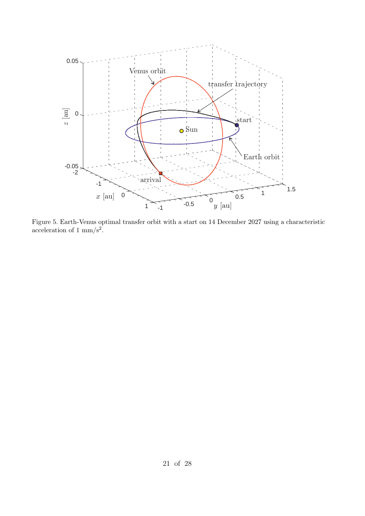

Figure 5. Earth-Venus optimal transfer orbit with a start on 14 December 2027 using a characteristic acceleration of 1 mm/s<sup>2</sup>.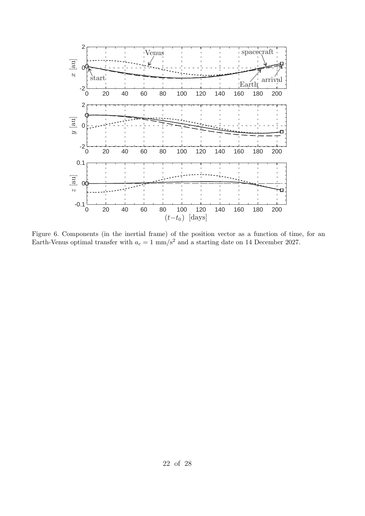

Figure 6. Components (in the inertial frame) of the position vector as a function of time, for an Earth-Venus optimal transfer with  $a_c = 1$  mm/s<sup>2</sup> and a starting date on 14 December 2027.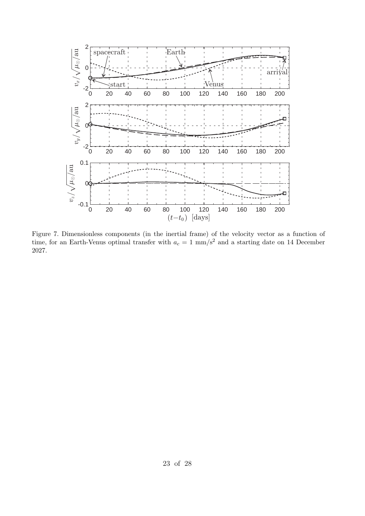

Figure 7. Dimensionless components (in the inertial frame) of the velocity vector as a function of time, for an Earth-Venus optimal transfer with  $a_c = 1$  mm/s<sup>2</sup> and a starting date on 14 December 2027.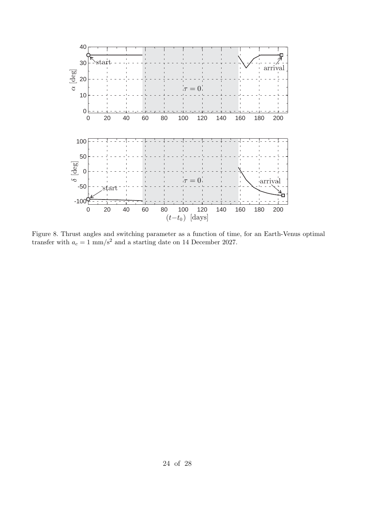

Figure 8. Thrust angles and switching parameter as a function of time, for an Earth-Venus optimal transfer with  $a_c = 1$  mm/s<sup>2</sup> and a starting date on 14 December 2027.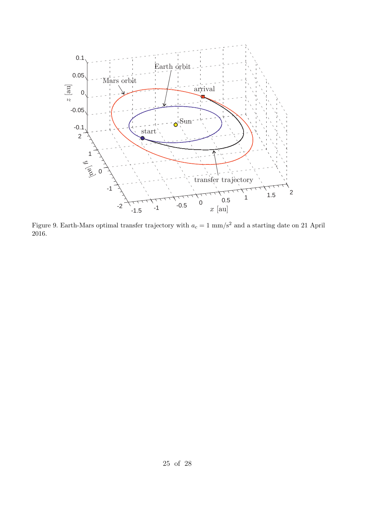

Figure 9. Earth-Mars optimal transfer trajectory with  $a_c = 1$  mm/s<sup>2</sup> and a starting date on 21 April 2016.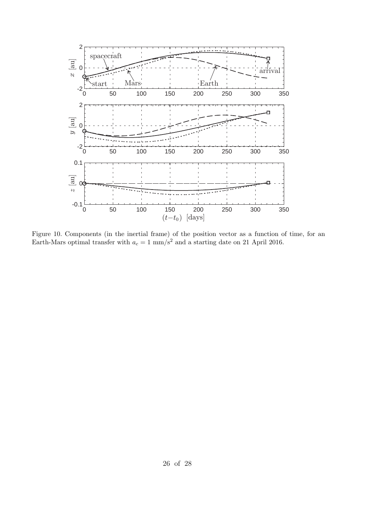

Figure 10. Components (in the inertial frame) of the position vector as a function of time, for an Earth-Mars optimal transfer with  $a_c = 1$  mm/s<sup>2</sup> and a starting date on 21 April 2016.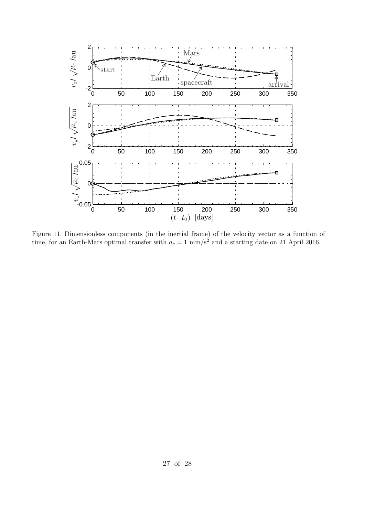

Figure 11. Dimensionless components (in the inertial frame) of the velocity vector as a function of time, for an Earth-Mars optimal transfer with  $a_c = 1$  mm/s<sup>2</sup> and a starting date on 21 April 2016.